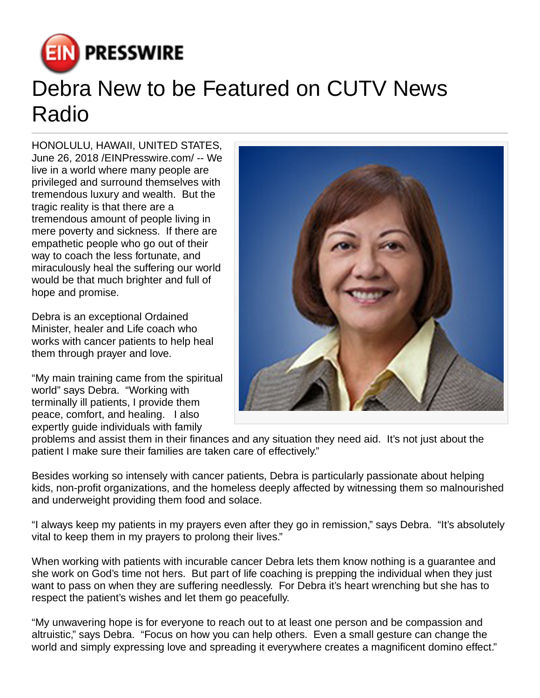

## Debra New to be Featured on CUTV News Radio

HONOLULU, HAWAII, UNITED STATES, June 26, 2018 [/EINPresswire.com/](http://www.einpresswire.com) -- We live in a world where many people are privileged and surround themselves with tremendous luxury and wealth. But the tragic reality is that there are a tremendous amount of people living in mere poverty and sickness. If there are empathetic people who go out of their way to coach the less fortunate, and miraculously heal the suffering our world would be that much brighter and full of hope and promise.

Debra is an exceptional Ordained Minister, healer and Life coach who works with cancer patients to help heal them through prayer and love.

"My main training came from the spiritual world" says Debra. "Working with terminally ill patients, I provide them peace, comfort, and healing. I also expertly guide individuals with family



problems and assist them in their finances and any situation they need aid. It's not just about the patient I make sure their families are taken care of effectively."

Besides working so intensely with cancer patients, Debra is particularly passionate about helping kids, non-profit organizations, and the homeless deeply affected by witnessing them so malnourished and underweight providing them food and solace.

"I always keep my patients in my prayers even after they go in remission," says Debra. "It's absolutely vital to keep them in my prayers to prolong their lives."

When working with patients with incurable cancer Debra lets them know nothing is a guarantee and she work on God's time not hers. But part of life coaching is prepping the individual when they just want to pass on when they are suffering needlessly. For Debra it's heart wrenching but she has to respect the patient's wishes and let them go peacefully.

"My unwavering hope is for everyone to reach out to at least one person and be compassion and altruistic," says Debra. "Focus on how you can help others. Even a small gesture can change the world and simply expressing love and spreading it everywhere creates a magnificent domino effect."